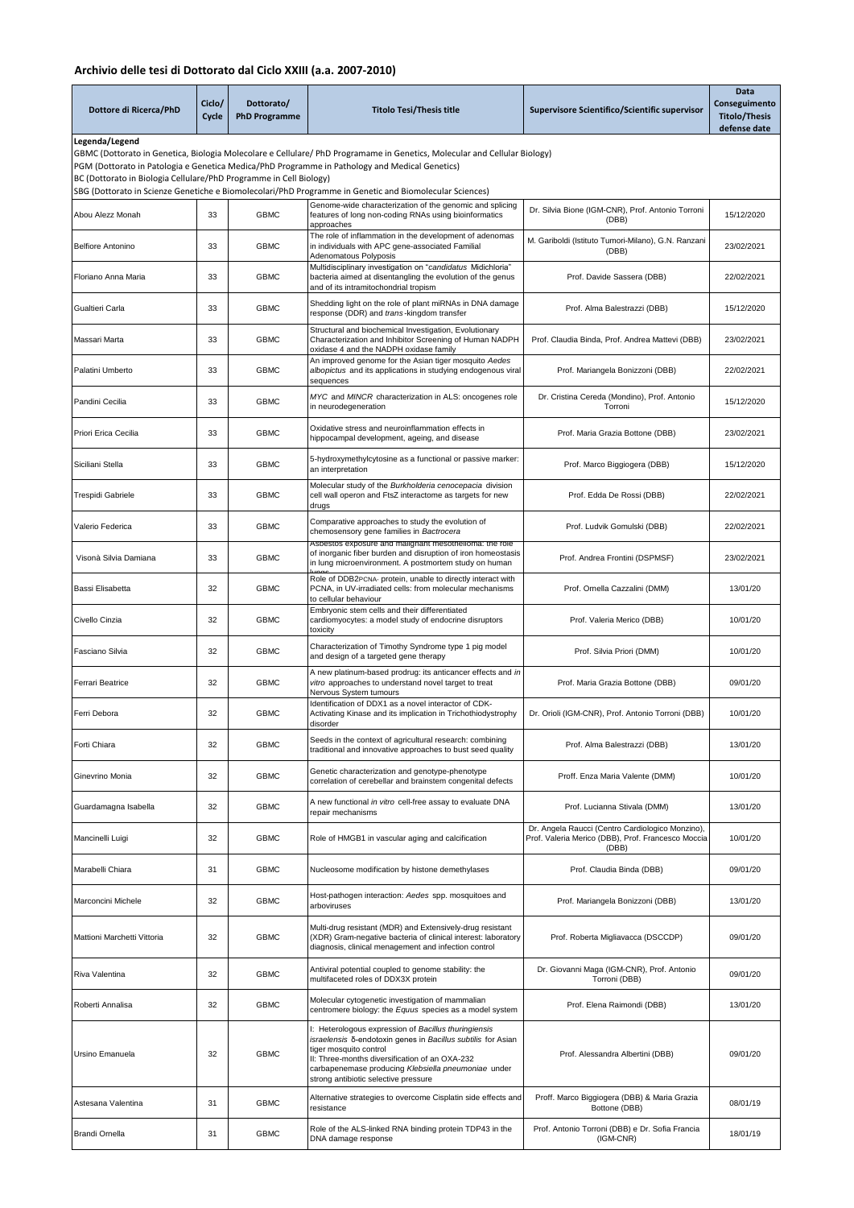## **Archivio delle tesi di Dottorato dal Ciclo XXIII (a.a. 2007-2010)**

| Dottore di Ricerca/PhD                                                                                                                                                                                                                                                                                              | Ciclo/<br>Cycle | Dottorato/<br><b>PhD Programme</b> | <b>Titolo Tesi/Thesis title</b>                                                                                                                                                                                                                                                                 | Supervisore Scientifico/Scientific supervisor                                                                   | Data<br>Conseguimento<br><b>Titolo/Thesis</b><br>defense date |
|---------------------------------------------------------------------------------------------------------------------------------------------------------------------------------------------------------------------------------------------------------------------------------------------------------------------|-----------------|------------------------------------|-------------------------------------------------------------------------------------------------------------------------------------------------------------------------------------------------------------------------------------------------------------------------------------------------|-----------------------------------------------------------------------------------------------------------------|---------------------------------------------------------------|
| Legenda/Legend<br>GBMC (Dottorato in Genetica, Biologia Molecolare e Cellulare/ PhD Programame in Genetics, Molecular and Cellular Biology)<br>PGM (Dottorato in Patologia e Genetica Medica/PhD Programme in Pathology and Medical Genetics)<br>BC (Dottorato in Biologia Cellulare/PhD Programme in Cell Biology) |                 |                                    |                                                                                                                                                                                                                                                                                                 |                                                                                                                 |                                                               |
|                                                                                                                                                                                                                                                                                                                     |                 |                                    | (Buttorato in Scienze Genetiche e Biomolecolari/PhD Programme in Genetic and Biomolecular Sciences)                                                                                                                                                                                             |                                                                                                                 |                                                               |
| Abou Alezz Monah                                                                                                                                                                                                                                                                                                    | 33              | <b>GBMC</b>                        | Genome-wide characterization of the genomic and splicing<br>features of long non-coding RNAs using bioinformatics<br>approaches                                                                                                                                                                 | Dr. Silvia Bione (IGM-CNR), Prof. Antonio Torroni<br>(DBB)                                                      | 15/12/2020                                                    |
| <b>Belfiore Antonino</b>                                                                                                                                                                                                                                                                                            | 33              | <b>GBMC</b>                        | The role of inflammation in the development of adenomas<br>in individuals with APC gene-associated Familial<br>Adenomatous Polyposis                                                                                                                                                            | M. Gariboldi (Istituto Tumori-Milano), G.N. Ranzani<br>(DBB)                                                    | 23/02/2021                                                    |
| Floriano Anna Maria                                                                                                                                                                                                                                                                                                 | 33              | <b>GBMC</b>                        | Multidisciplinary investigation on "candidatus Midichloria"<br>bacteria aimed at disentangling the evolution of the genus<br>and of its intramitochondrial tropism                                                                                                                              | Prof. Davide Sassera (DBB)                                                                                      | 22/02/2021                                                    |
| Gualtieri Carla                                                                                                                                                                                                                                                                                                     | 33              | <b>GBMC</b>                        | Shedding light on the role of plant miRNAs in DNA damage<br>response (DDR) and trans-kingdom transfer                                                                                                                                                                                           | Prof. Alma Balestrazzi (DBB)                                                                                    | 15/12/2020                                                    |
| Massari Marta                                                                                                                                                                                                                                                                                                       | 33              | <b>GBMC</b>                        | Structural and biochemical Investigation, Evolutionary<br>Characterization and Inhibitor Screening of Human NADPH<br>oxidase 4 and the NADPH oxidase family                                                                                                                                     | Prof. Claudia Binda, Prof. Andrea Mattevi (DBB)                                                                 | 23/02/2021                                                    |
| Palatini Umberto                                                                                                                                                                                                                                                                                                    | 33              | <b>GBMC</b>                        | An improved genome for the Asian tiger mosquito Aedes<br>albopictus and its applications in studying endogenous viral<br>sequences                                                                                                                                                              | Prof. Mariangela Bonizzoni (DBB)                                                                                | 22/02/2021                                                    |
| Pandini Cecilia                                                                                                                                                                                                                                                                                                     | 33              | <b>GBMC</b>                        | MYC and MINCR characterization in ALS: oncogenes role<br>in neurodegeneration                                                                                                                                                                                                                   | Dr. Cristina Cereda (Mondino), Prof. Antonio<br>Torroni                                                         | 15/12/2020                                                    |
| Priori Erica Cecilia                                                                                                                                                                                                                                                                                                | 33              | <b>GBMC</b>                        | Oxidative stress and neuroinflammation effects in<br>hippocampal development, ageing, and disease                                                                                                                                                                                               | Prof. Maria Grazia Bottone (DBB)                                                                                | 23/02/2021                                                    |
| Siciliani Stella                                                                                                                                                                                                                                                                                                    | 33              | <b>GBMC</b>                        | 5-hydroxymethylcytosine as a functional or passive marker:<br>an interpretation                                                                                                                                                                                                                 | Prof. Marco Biggiogera (DBB)                                                                                    | 15/12/2020                                                    |
| Trespidi Gabriele                                                                                                                                                                                                                                                                                                   | 33              | <b>GBMC</b>                        | Molecular study of the Burkholderia cenocepacia division<br>cell wall operon and FtsZ interactome as targets for new<br>drugs                                                                                                                                                                   | Prof. Edda De Rossi (DBB)                                                                                       | 22/02/2021                                                    |
| Valerio Federica                                                                                                                                                                                                                                                                                                    | 33              | <b>GBMC</b>                        | Comparative approaches to study the evolution of<br>chemosensory gene families in Bactrocera                                                                                                                                                                                                    | Prof. Ludvik Gomulski (DBB)                                                                                     | 22/02/2021                                                    |
| Visonà Silvia Damiana                                                                                                                                                                                                                                                                                               | 33              | <b>GBMC</b>                        | Aspestos exposure and malignant mesothelloma: the role<br>of inorganic fiber burden and disruption of iron homeostasis<br>in lung microenvironment. A postmortem study on human                                                                                                                 | Prof. Andrea Frontini (DSPMSF)                                                                                  | 23/02/2021                                                    |
| Bassi Elisabetta                                                                                                                                                                                                                                                                                                    | 32              | <b>GBMC</b>                        | Role of DDB2PCNA- protein, unable to directly interact with<br>PCNA, in UV-irradiated cells: from molecular mechanisms<br>to cellular behaviour                                                                                                                                                 | Prof. Ornella Cazzalini (DMM)                                                                                   | 13/01/20                                                      |
| Civello Cinzia                                                                                                                                                                                                                                                                                                      | 32              | <b>GBMC</b>                        | Embryonic stem cells and their differentiated<br>cardiomyocytes: a model study of endocrine disruptors<br>toxicity                                                                                                                                                                              | Prof. Valeria Merico (DBB)                                                                                      | 10/01/20                                                      |
| Fasciano Silvia                                                                                                                                                                                                                                                                                                     | 32              | <b>GBMC</b>                        | Characterization of Timothy Syndrome type 1 pig model<br>and design of a targeted gene therapy                                                                                                                                                                                                  | Prof. Silvia Priori (DMM)                                                                                       | 10/01/20                                                      |
| Ferrari Beatrice                                                                                                                                                                                                                                                                                                    | 32              | <b>GBMC</b>                        | A new platinum-based prodrug: its anticancer effects and in<br>vitro approaches to understand novel target to treat<br>Nervous System tumours                                                                                                                                                   | Prof. Maria Grazia Bottone (DBB)                                                                                | 09/01/20                                                      |
| Ferri Debora                                                                                                                                                                                                                                                                                                        | 32              | <b>GBMC</b>                        | Identification of DDX1 as a novel interactor of CDK-<br>Activating Kinase and its implication in Trichothiodystrophy<br>disorder                                                                                                                                                                | Dr. Orioli (IGM-CNR), Prof. Antonio Torroni (DBB)                                                               | 10/01/20                                                      |
| Forti Chiara                                                                                                                                                                                                                                                                                                        | 32              | <b>GBMC</b>                        | Seeds in the context of agricultural research: combining<br>traditional and innovative approaches to bust seed quality                                                                                                                                                                          | Prof. Alma Balestrazzi (DBB)                                                                                    | 13/01/20                                                      |
| Ginevrino Monia                                                                                                                                                                                                                                                                                                     | 32              | <b>GBMC</b>                        | Genetic characterization and genotype-phenotype<br>correlation of cerebellar and brainstem congenital defects                                                                                                                                                                                   | Proff. Enza Maria Valente (DMM)                                                                                 | 10/01/20                                                      |
| Guardamagna Isabella                                                                                                                                                                                                                                                                                                | 32              | <b>GBMC</b>                        | A new functional in vitro cell-free assay to evaluate DNA<br>repair mechanisms                                                                                                                                                                                                                  | Prof. Lucianna Stivala (DMM)                                                                                    | 13/01/20                                                      |
| Mancinelli Luigi                                                                                                                                                                                                                                                                                                    | 32              | <b>GBMC</b>                        | Role of HMGB1 in vascular aging and calcification                                                                                                                                                                                                                                               | Dr. Angela Raucci (Centro Cardiologico Monzino),<br>Prof. Valeria Merico (DBB), Prof. Francesco Moccia<br>(DBB) | 10/01/20                                                      |
| Marabelli Chiara                                                                                                                                                                                                                                                                                                    | 31              | <b>GBMC</b>                        | Nucleosome modification by histone demethylases                                                                                                                                                                                                                                                 | Prof. Claudia Binda (DBB)                                                                                       | 09/01/20                                                      |
| Marconcini Michele                                                                                                                                                                                                                                                                                                  | 32              | <b>GBMC</b>                        | Host-pathogen interaction: Aedes spp. mosquitoes and<br>arboviruses                                                                                                                                                                                                                             | Prof. Mariangela Bonizzoni (DBB)                                                                                | 13/01/20                                                      |
| Mattioni Marchetti Vittoria                                                                                                                                                                                                                                                                                         | 32              | <b>GBMC</b>                        | Multi-drug resistant (MDR) and Extensively-drug resistant<br>(XDR) Gram-negative bacteria of clinical interest: laboratory<br>diagnosis, clinical menagement and infection control                                                                                                              | Prof. Roberta Migliavacca (DSCCDP)                                                                              | 09/01/20                                                      |
| Riva Valentina                                                                                                                                                                                                                                                                                                      | 32              | <b>GBMC</b>                        | Antiviral potential coupled to genome stability: the<br>multifaceted roles of DDX3X protein                                                                                                                                                                                                     | Dr. Giovanni Maga (IGM-CNR), Prof. Antonio<br>Torroni (DBB)                                                     | 09/01/20                                                      |
| Roberti Annalisa                                                                                                                                                                                                                                                                                                    | 32              | <b>GBMC</b>                        | Molecular cytogenetic investigation of mammalian<br>centromere biology: the Equus species as a model system                                                                                                                                                                                     | Prof. Elena Raimondi (DBB)                                                                                      | 13/01/20                                                      |
| Ursino Emanuela                                                                                                                                                                                                                                                                                                     | 32              | <b>GBMC</b>                        | I: Heterologous expression of Bacillus thuringiensis<br>israelensis δ-endotoxin genes in Bacillus subtilis for Asian<br>tiger mosquito control<br>II: Three-months diversification of an OXA-232<br>carbapenemase producing Klebsiella pneumoniae under<br>strong antibiotic selective pressure | Prof. Alessandra Albertini (DBB)                                                                                | 09/01/20                                                      |
| Astesana Valentina                                                                                                                                                                                                                                                                                                  | 31              | <b>GBMC</b>                        | Alternative strategies to overcome Cisplatin side effects and<br>resistance                                                                                                                                                                                                                     | Proff. Marco Biggiogera (DBB) & Maria Grazia<br>Bottone (DBB)                                                   | 08/01/19                                                      |
| Brandi Ornella                                                                                                                                                                                                                                                                                                      | 31              | <b>GBMC</b>                        | Role of the ALS-linked RNA binding protein TDP43 in the<br>DNA damage response                                                                                                                                                                                                                  | Prof. Antonio Torroni (DBB) e Dr. Sofia Francia<br>(IGM-CNR)                                                    | 18/01/19                                                      |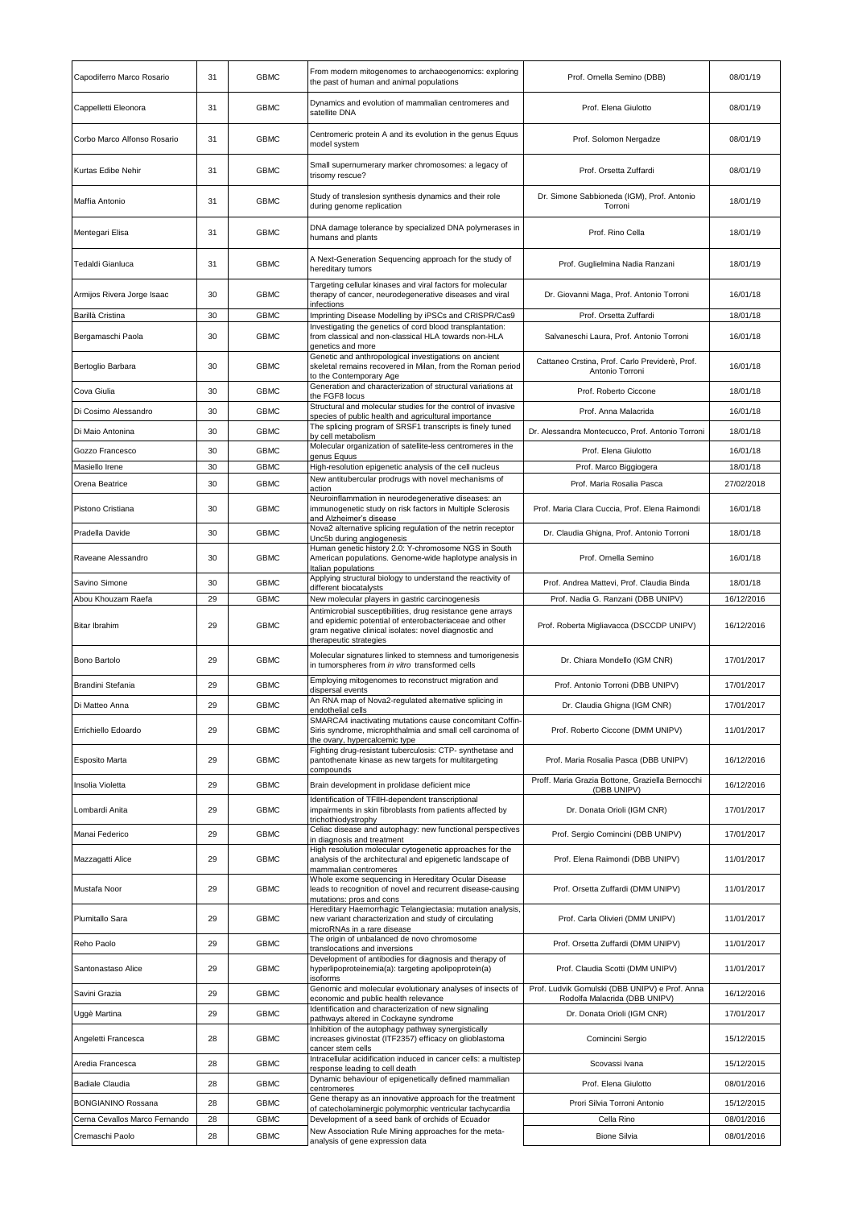| Capodiferro Marco Rosario     | 31 | <b>GBMC</b> | From modern mitogenomes to archaeogenomics: exploring<br>the past of human and animal populations                                                                                                        | Prof. Ornella Semino (DBB)                                        | 08/01/19   |
|-------------------------------|----|-------------|----------------------------------------------------------------------------------------------------------------------------------------------------------------------------------------------------------|-------------------------------------------------------------------|------------|
| Cappelletti Eleonora          | 31 | <b>GBMC</b> | Dynamics and evolution of mammalian centromeres and<br>satellite DNA                                                                                                                                     | Prof. Elena Giulotto                                              | 08/01/19   |
| Corbo Marco Alfonso Rosario   | 31 | <b>GBMC</b> | Centromeric protein A and its evolution in the genus Equus<br>model system                                                                                                                               | Prof. Solomon Nergadze                                            | 08/01/19   |
| Kurtas Edibe Nehir            | 31 | <b>GBMC</b> | Small supernumerary marker chromosomes: a legacy of<br>trisomy rescue?                                                                                                                                   | Prof. Orsetta Zuffardi                                            | 08/01/19   |
| Maffia Antonio                | 31 | <b>GBMC</b> | Study of translesion synthesis dynamics and their role<br>during genome replication                                                                                                                      | Dr. Simone Sabbioneda (IGM), Prof. Antonio<br>Torroni             | 18/01/19   |
| Mentegari Elisa               | 31 | <b>GBMC</b> | DNA damage tolerance by specialized DNA polymerases in<br>humans and plants                                                                                                                              | Prof. Rino Cella                                                  | 18/01/19   |
| Tedaldi Gianluca              | 31 | <b>GBMC</b> | A Next-Generation Sequencing approach for the study of<br>hereditary tumors                                                                                                                              | Prof. Guglielmina Nadia Ranzani                                   | 18/01/19   |
| Armijos Rivera Jorge Isaac    | 30 | <b>GBMC</b> | Targeting cellular kinases and viral factors for molecular<br>therapy of cancer, neurodegenerative diseases and viral<br>infections                                                                      | Dr. Giovanni Maga, Prof. Antonio Torroni                          | 16/01/18   |
| Barillà Cristina              | 30 | <b>GBMC</b> | Imprinting Disease Modelling by iPSCs and CRISPR/Cas9                                                                                                                                                    | Prof. Orsetta Zuffardi                                            | 18/01/18   |
| Bergamaschi Paola             | 30 | <b>GBMC</b> | Investigating the genetics of cord blood transplantation:<br>from classical and non-classical HLA towards non-HLA<br>genetics and more                                                                   | Salvaneschi Laura, Prof. Antonio Torroni                          | 16/01/18   |
| Bertoglio Barbara             | 30 | <b>GBMC</b> | Genetic and anthropological investigations on ancient<br>skeletal remains recovered in Milan, from the Roman period<br>to the Contemporary Age                                                           | Cattaneo Crstina, Prof. Carlo Previderè, Prof.<br>Antonio Torroni | 16/01/18   |
| Cova Giulia                   | 30 | <b>GBMC</b> | Generation and characterization of structural variations at<br>the FGF8 locus                                                                                                                            | Prof. Roberto Ciccone                                             | 18/01/18   |
| Di Cosimo Alessandro          | 30 | <b>GBMC</b> | Structural and molecular studies for the control of invasive                                                                                                                                             | Prof. Anna Malacrida                                              | 16/01/18   |
| Di Maio Antonina              | 30 | <b>GBMC</b> | species of public health and agricultural importance<br>The splicing program of SRSF1 transcripts is finely tuned                                                                                        | Dr. Alessandra Montecucco, Prof. Antonio Torroni                  | 18/01/18   |
|                               |    |             | by cell metabolism<br>Molecular organization of satellite-less centromeres in the                                                                                                                        |                                                                   |            |
| Gozzo Francesco               | 30 | <b>GBMC</b> | genus Equus                                                                                                                                                                                              | Prof. Elena Giulotto                                              | 16/01/18   |
| Masiello Irene                | 30 | <b>GBMC</b> | High-resolution epigenetic analysis of the cell nucleus<br>New antitubercular prodrugs with novel mechanisms of                                                                                          | Prof. Marco Biggiogera                                            | 18/01/18   |
| Orena Beatrice                | 30 | <b>GBMC</b> | action                                                                                                                                                                                                   | Prof. Maria Rosalia Pasca                                         | 27/02/2018 |
| Pistono Cristiana             | 30 | <b>GBMC</b> | Neuroinflammation in neurodegenerative diseases: an<br>immunogenetic study on risk factors in Multiple Sclerosis<br>and Alzheimer's disease                                                              | Prof. Maria Clara Cuccia, Prof. Elena Raimondi                    | 16/01/18   |
| Pradella Davide               | 30 | <b>GBMC</b> | Nova2 alternative splicing regulation of the netrin receptor<br>Unc5b during angiogenesis                                                                                                                | Dr. Claudia Ghigna, Prof. Antonio Torroni                         | 18/01/18   |
| Raveane Alessandro            | 30 | <b>GBMC</b> | Human genetic history 2.0: Y-chromosome NGS in South<br>American populations. Genome-wide haplotype analysis in<br>Italian populations                                                                   | Prof. Ornella Semino                                              | 16/01/18   |
| Savino Simone                 | 30 | <b>GBMC</b> | Applying structural biology to understand the reactivity of<br>different biocatalysts                                                                                                                    | Prof. Andrea Mattevi, Prof. Claudia Binda                         | 18/01/18   |
| Abou Khouzam Raefa            | 29 | <b>GBMC</b> | New molecular players in gastric carcinogenesis                                                                                                                                                          | Prof. Nadia G. Ranzani (DBB UNIPV)                                | 16/12/2016 |
| <b>Bitar Ibrahim</b>          | 29 | <b>GBMC</b> | Antimicrobial susceptibilities, drug resistance gene arrays<br>and epidemic potential of enterobacteriaceae and other<br>gram negative clinical isolates: novel diagnostic and<br>therapeutic strategies | Prof. Roberta Migliavacca (DSCCDP UNIPV)                          | 16/12/2016 |
| Bono Bartolo                  | 29 | <b>GBMC</b> | Molecular signatures linked to stemness and tumorigenesis<br>in tumorspheres from in vitro transformed cells                                                                                             | Dr. Chiara Mondello (IGM CNR)                                     | 17/01/2017 |
| Brandini Stefania             | 29 | <b>GBMC</b> | Employing mitogenomes to reconstruct migration and<br>dispersal events                                                                                                                                   | Prof. Antonio Torroni (DBB UNIPV)                                 | 17/01/2017 |
| Di Matteo Anna                | 29 | <b>GBMC</b> | An RNA map of Nova2-regulated alternative splicing in<br>endothelial cells                                                                                                                               | Dr. Claudia Ghigna (IGM CNR)                                      | 17/01/2017 |
| Errichiello Edoardo           | 29 | <b>GBMC</b> | SMARCA4 inactivating mutations cause concomitant Coffin-<br>Siris syndrome, microphthalmia and small cell carcinoma of<br>the ovary, hypercalcemic type                                                  | Prof. Roberto Ciccone (DMM UNIPV)                                 | 11/01/2017 |
| Esposito Marta                | 29 | <b>GBMC</b> | Fighting drug-resistant tuberculosis: CTP- synthetase and<br>pantothenate kinase as new targets for multitargeting<br>compounds                                                                          | Prof. Maria Rosalia Pasca (DBB UNIPV)                             | 16/12/2016 |
| Insolia Violetta              | 29 | <b>GBMC</b> | Brain development in prolidase deficient mice                                                                                                                                                            | Proff. Maria Grazia Bottone, Graziella Bernocchi<br>(DBB UNIPV)   | 16/12/2016 |
| Lombardi Anita                | 29 | <b>GBMC</b> | Identification of TFIIH-dependent transcriptional<br>impairments in skin fibroblasts from patients affected by<br>trichothiodystrophy                                                                    | Dr. Donata Orioli (IGM CNR)                                       | 17/01/2017 |
| Manai Federico                | 29 | <b>GBMC</b> | Celiac disease and autophagy: new functional perspectives<br>in diagnosis and treatment                                                                                                                  | Prof. Sergio Comincini (DBB UNIPV)                                | 17/01/2017 |
| Mazzagatti Alice              | 29 | <b>GBMC</b> | High resolution molecular cytogenetic approaches for the<br>analysis of the architectural and epigenetic landscape of                                                                                    | Prof. Elena Raimondi (DBB UNIPV)                                  | 11/01/2017 |
| Mustafa Noor                  | 29 | <b>GBMC</b> | mammalian centromeres<br>Whole exome sequencing in Hereditary Ocular Disease<br>leads to recognition of novel and recurrent disease-causing<br>mutations: pros and cons                                  | Prof. Orsetta Zuffardi (DMM UNIPV)                                | 11/01/2017 |
| <b>Plumitallo Sara</b>        | 29 | <b>GBMC</b> | Hereditary Haemorrhagic Telangiectasia: mutation analysis,<br>new variant characterization and study of circulating<br>microRNAs in a rare disease                                                       | Prof. Carla Olivieri (DMM UNIPV)                                  | 11/01/2017 |
| Reho Paolo                    | 29 | <b>GBMC</b> | The origin of unbalanced de novo chromosome<br>translocations and inversions                                                                                                                             | Prof. Orsetta Zuffardi (DMM UNIPV)                                | 11/01/2017 |
| Santonastaso Alice            | 29 | <b>GBMC</b> | Development of antibodies for diagnosis and therapy of<br>hyperlipoproteinemia(a): targeting apolipoprotein(a)<br>isoforms                                                                               | Prof. Claudia Scotti (DMM UNIPV)                                  | 11/01/2017 |
| Savini Grazia                 | 29 | <b>GBMC</b> | Genomic and molecular evolutionary analyses of insects of                                                                                                                                                | Prof. Ludvik Gomulski (DBB UNIPV) e Prof. Anna                    | 16/12/2016 |
|                               |    |             | economic and public health relevance<br>Identification and characterization of new signaling                                                                                                             | Rodolfa Malacrida (DBB UNIPV)                                     |            |
| Uggè Martina                  | 29 | <b>GBMC</b> | pathways altered in Cockayne syndrome<br>Inhibition of the autophagy pathway synergistically                                                                                                             | Dr. Donata Orioli (IGM CNR)                                       | 17/01/2017 |
| Angeletti Francesca           | 28 | <b>GBMC</b> | increases givinostat (ITF2357) efficacy on glioblastoma<br>cancer stem cells                                                                                                                             | Comincini Sergio                                                  | 15/12/2015 |
| Aredia Francesca              | 28 | <b>GBMC</b> | Intracellular acidification induced in cancer cells: a multistep<br>response leading to cell death                                                                                                       | Scovassi Ivana                                                    | 15/12/2015 |
| <b>Badiale Claudia</b>        | 28 | <b>GBMC</b> | Dynamic behaviour of epigenetically defined mammalian<br>centromeres                                                                                                                                     | Prof. Elena Giulotto                                              | 08/01/2016 |
| BONGIANINO Rossana            | 28 | <b>GBMC</b> | Gene therapy as an innovative approach for the treatment                                                                                                                                                 | Prori Silvia Torroni Antonio                                      | 15/12/2015 |
| Cerna Cevallos Marco Fernando | 28 | <b>GBMC</b> | of catecholaminergic polymorphic ventricular tachycardia<br>Development of a seed bank of orchids of Ecuador                                                                                             | Cella Rino                                                        | 08/01/2016 |
| Cremaschi Paolo               | 28 | <b>GBMC</b> | New Association Rule Mining approaches for the meta-                                                                                                                                                     | <b>Bione Silvia</b>                                               | 08/01/2016 |
|                               |    |             | analysis of gene expression data                                                                                                                                                                         |                                                                   |            |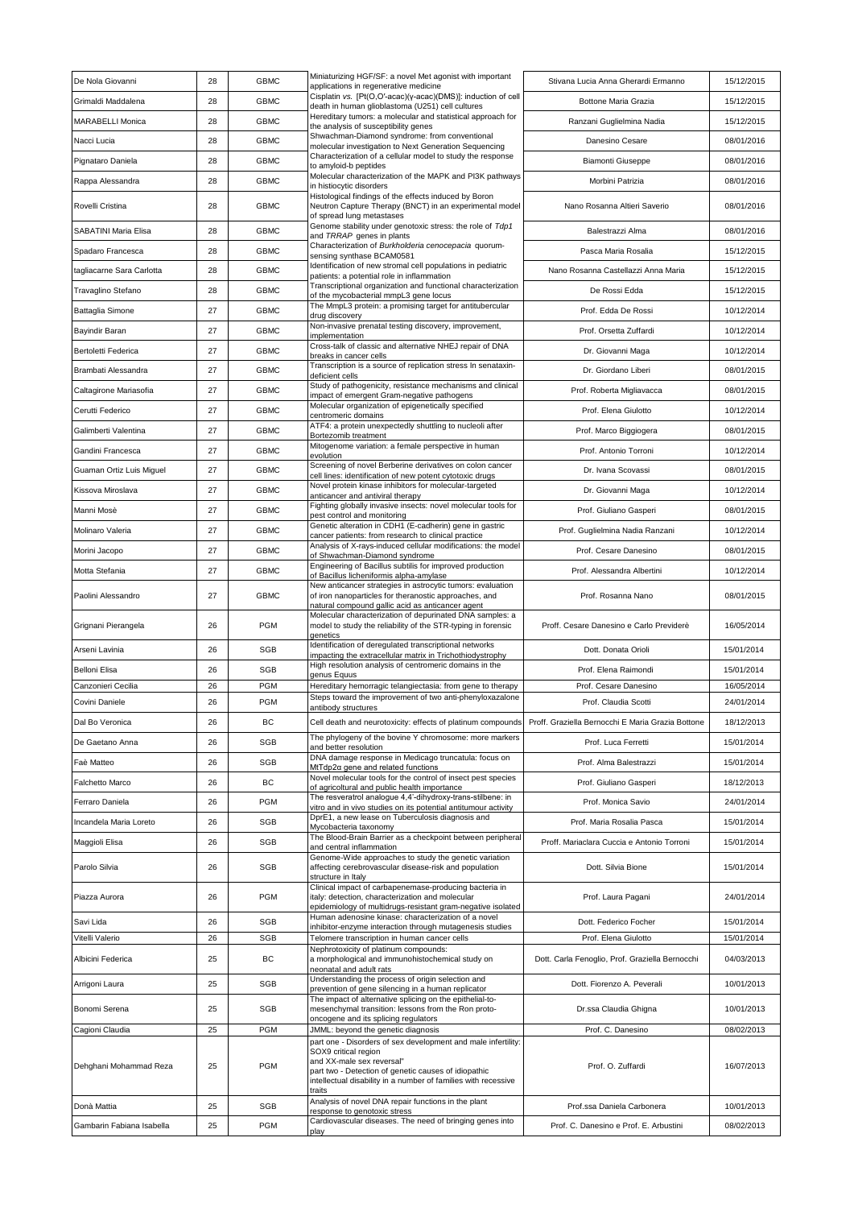| De Nola Giovanni          | 28 | <b>GBMC</b> | Miniaturizing HGF/SF: a novel Met agonist with important<br>applications in regenerative medicine                                                                         | Stivana Lucia Anna Gherardi Ermanno               | 15/12/2015 |
|---------------------------|----|-------------|---------------------------------------------------------------------------------------------------------------------------------------------------------------------------|---------------------------------------------------|------------|
| Grimaldi Maddalena        | 28 | <b>GBMC</b> | Cisplatin vs. [Pt(O,O'-acac)(y-acac)(DMS)]: induction of cell<br>death in human glioblastoma (U251) cell cultures                                                         | Bottone Maria Grazia                              | 15/12/2015 |
| <b>MARABELLI Monica</b>   | 28 | <b>GBMC</b> | Hereditary tumors: a molecular and statistical approach for<br>the analysis of susceptibility genes                                                                       | Ranzani Guglielmina Nadia                         | 15/12/2015 |
| Nacci Lucia               | 28 | <b>GBMC</b> | Shwachman-Diamond syndrome: from conventional<br>molecular investigation to Next Generation Sequencing                                                                    | Danesino Cesare                                   | 08/01/2016 |
| Pignataro Daniela         | 28 | <b>GBMC</b> | Characterization of a cellular model to study the response<br>to amyloid-b peptides                                                                                       | <b>Biamonti Giuseppe</b>                          | 08/01/2016 |
| Rappa Alessandra          | 28 | <b>GBMC</b> | Molecular characterization of the MAPK and PI3K pathways<br>in histiocytic disorders                                                                                      | Morbini Patrizia                                  | 08/01/2016 |
| Rovelli Cristina          | 28 | <b>GBMC</b> | Histological findings of the effects induced by Boron<br>Neutron Capture Therapy (BNCT) in an experimental model                                                          | Nano Rosanna Altieri Saverio                      | 08/01/2016 |
| SABATINI Maria Elisa      | 28 | <b>GBMC</b> | of spread lung metastases<br>Genome stability under genotoxic stress: the role of Tdp1                                                                                    | Balestrazzi Alma                                  | 08/01/2016 |
| Spadaro Francesca         | 28 | <b>GBMC</b> | and TRRAP genes in plants<br>Characterization of Burkholderia cenocepacia quorum-                                                                                         | Pasca Maria Rosalia                               | 15/12/2015 |
| tagliacarne Sara Carlotta | 28 | <b>GBMC</b> | sensing synthase BCAM0581<br>Identification of new stromal cell populations in pediatric                                                                                  | Nano Rosanna Castellazzi Anna Maria               | 15/12/2015 |
| Travaglino Stefano        | 28 | <b>GBMC</b> | patients: a potential role in inflammation<br>Transcriptional organization and functional characterization                                                                | De Rossi Edda                                     | 15/12/2015 |
| <b>Battaglia Simone</b>   | 27 | <b>GBMC</b> | of the mycobacterial mmpL3 gene locus<br>The MmpL3 protein: a promising target for antitubercular                                                                         | Prof. Edda De Rossi                               | 10/12/2014 |
| Bayindir Baran            | 27 | <b>GBMC</b> | drug discovery<br>Non-invasive prenatal testing discovery, improvement,                                                                                                   | Prof. Orsetta Zuffardi                            | 10/12/2014 |
| Bertoletti Federica       | 27 | <b>GBMC</b> | implementation<br>Cross-talk of classic and alternative NHEJ repair of DNA                                                                                                | Dr. Giovanni Maga                                 | 10/12/2014 |
|                           |    |             | breaks in cancer cells<br>Transcription is a source of replication stress In senataxin-                                                                                   |                                                   |            |
| Brambati Alessandra       | 27 | <b>GBMC</b> | deficient cells<br>Study of pathogenicity, resistance mechanisms and clinical                                                                                             | Dr. Giordano Liberi                               | 08/01/2015 |
| Caltagirone Mariasofia    | 27 | <b>GBMC</b> | impact of emergent Gram-negative pathogens<br>Molecular organization of epigenetically specified                                                                          | Prof. Roberta Migliavacca                         | 08/01/2015 |
| Cerutti Federico          | 27 | <b>GBMC</b> | centromeric domains<br>ATF4: a protein unexpectedly shuttling to nucleoli after                                                                                           | Prof. Elena Giulotto                              | 10/12/2014 |
| Galimberti Valentina      | 27 | <b>GBMC</b> | Bortezomib treatment                                                                                                                                                      | Prof. Marco Biggiogera                            | 08/01/2015 |
| Gandini Francesca         | 27 | <b>GBMC</b> | Mitogenome variation: a female perspective in human<br>evolution                                                                                                          | Prof. Antonio Torroni                             | 10/12/2014 |
| Guaman Ortiz Luis Miguel  | 27 | <b>GBMC</b> | Screening of novel Berberine derivatives on colon cancer<br>cell lines: identification of new potent cytotoxic drugs                                                      | Dr. Ivana Scovassi                                | 08/01/2015 |
| Kissova Miroslava         | 27 | <b>GBMC</b> | Novel protein kinase inhibitors for molecular-targeted<br>anticancer and antiviral therapy                                                                                | Dr. Giovanni Maga                                 | 10/12/2014 |
| Manni Mosè                | 27 | <b>GBMC</b> | Fighting globally invasive insects: novel molecular tools for<br>pest control and monitoring                                                                              | Prof. Giuliano Gasperi                            | 08/01/2015 |
| Molinaro Valeria          | 27 | <b>GBMC</b> | Genetic alteration in CDH1 (E-cadherin) gene in gastric<br>cancer patients: from research to clinical practice                                                            | Prof. Guglielmina Nadia Ranzani                   | 10/12/2014 |
| Morini Jacopo             | 27 | <b>GBMC</b> | Analysis of X-rays-induced cellular modifications: the model<br>of Shwachman-Diamond syndrome                                                                             | Prof. Cesare Danesino                             | 08/01/2015 |
| Motta Stefania            | 27 | <b>GBMC</b> | Engineering of Bacillus subtilis for improved production<br>of Bacillus licheniformis alpha-amylase                                                                       | Prof. Alessandra Albertini                        | 10/12/2014 |
| Paolini Alessandro        | 27 | <b>GBMC</b> | New anticancer strategies in astrocytic tumors: evaluation<br>of iron nanoparticles for theranostic approaches, and<br>natural compound gallic acid as anticancer agent   | Prof. Rosanna Nano                                | 08/01/2015 |
| Grignani Pierangela       | 26 | <b>PGM</b>  | Molecular characterization of depurinated DNA samples: a<br>model to study the reliability of the STR-typing in forensic<br>genetics                                      | Proff. Cesare Danesino e Carlo Previderè          | 16/05/2014 |
| Arseni Lavinia            | 26 | <b>SGB</b>  | Identification of deregulated transcriptional networks<br>mpacting the extracellular matrix in Trichothiodystrophy                                                        | Dott. Donata Orioli                               | 15/01/2014 |
| Belloni Elisa             | 26 | <b>SGB</b>  | High resolution analysis of centromeric domains in the                                                                                                                    | Prof. Elena Raimondi                              | 15/01/2014 |
| Canzonieri Cecilia        | 26 | <b>PGM</b>  | genus Equus<br>Hereditary hemorragic telangiectasia: from gene to therapy                                                                                                 | Prof. Cesare Danesino                             | 16/05/2014 |
| Covini Daniele            | 26 | <b>PGM</b>  | Steps toward the improvement of two anti-phenyloxazalone<br>antibody structures                                                                                           | Prof. Claudia Scotti                              | 24/01/2014 |
| Dal Bo Veronica           | 26 | ВC          | Cell death and neurotoxicity: effects of platinum compounds                                                                                                               | Proff. Graziella Bernocchi E Maria Grazia Bottone | 18/12/2013 |
| De Gaetano Anna           | 26 | <b>SGB</b>  | The phylogeny of the bovine Y chromosome: more markers<br>and better resolution                                                                                           | Prof. Luca Ferretti                               | 15/01/2014 |
| Faè Matteo                | 26 | <b>SGB</b>  | DNA damage response in Medicago truncatula: focus on<br>MtTdp2a gene and related functions                                                                                | Prof. Alma Balestrazzi                            | 15/01/2014 |
| Falchetto Marco           | 26 | ВC          | Novel molecular tools for the control of insect pest species<br>of agricoltural and public health importance                                                              | Prof. Giuliano Gasperi                            | 18/12/2013 |
| Ferraro Daniela           | 26 | <b>PGM</b>  | The resveratrol analogue 4,4'-dihydroxy-trans-stilbene: in<br>vitro and in vivo studies on its potential antitumour activity                                              | Prof. Monica Savio                                | 24/01/2014 |
| Incandela Maria Loreto    | 26 | <b>SGB</b>  | DprE1, a new lease on Tuberculosis diagnosis and<br>Mycobacteria taxonomy                                                                                                 | Prof. Maria Rosalia Pasca                         | 15/01/2014 |
| Maggioli Elisa            | 26 | <b>SGB</b>  | The Blood-Brain Barrier as a checkpoint between peripheral<br>and central inflammation                                                                                    | Proff. Mariaclara Cuccia e Antonio Torroni        | 15/01/2014 |
| Parolo Silvia             | 26 | <b>SGB</b>  | Genome-Wide approaches to study the genetic variation<br>affecting cerebrovascular disease-risk and population<br>structure in Italy                                      | Dott. Silvia Bione                                | 15/01/2014 |
| Piazza Aurora             | 26 | <b>PGM</b>  | Clinical impact of carbapenemase-producing bacteria in<br>italy: detection, characterization and molecular<br>epidemiology of multidrugs-resistant gram-negative isolated | Prof. Laura Pagani                                | 24/01/2014 |
| Savi Lida                 | 26 | <b>SGB</b>  | Human adenosine kinase: characterization of a novel                                                                                                                       | Dott. Federico Focher                             | 15/01/2014 |
| Vitelli Valerio           | 26 | <b>SGB</b>  | inhibitor-enzyme interaction through mutagenesis studies<br>Telomere transcription in human cancer cells                                                                  | Prof. Elena Giulotto                              | 15/01/2014 |
| Albicini Federica         | 25 | ВC          | Nephrotoxicity of platinum compounds:<br>a morphological and immunohistochemical study on<br>neonatal and adult rats                                                      | Dott. Carla Fenoglio, Prof. Graziella Bernocchi   | 04/03/2013 |
| Arrigoni Laura            | 25 | SGB         | Understanding the process of origin selection and<br>prevention of gene silencing in a human replicator                                                                   | Dott. Fiorenzo A. Peverali                        | 10/01/2013 |
| Bonomi Serena             | 25 | <b>SGB</b>  | The impact of alternative splicing on the epithelial-to-<br>mesenchymal transition: lessons from the Ron proto-                                                           | Dr.ssa Claudia Ghigna                             | 10/01/2013 |
| Cagioni Claudia           | 25 | <b>PGM</b>  | oncogene and its splicing regulators<br>JMML: beyond the genetic diagnosis                                                                                                | Prof. C. Danesino                                 | 08/02/2013 |
|                           |    |             | part one - Disorders of sex development and male infertility:<br>SOX9 critical region                                                                                     |                                                   |            |
| Dehghani Mohammad Reza    | 25 | <b>PGM</b>  | and XX-male sex reversal"<br>part two - Detection of genetic causes of idiopathic<br>intellectual disability in a number of families with recessive                       | Prof. O. Zuffardi                                 | 16/07/2013 |
| Donà Mattia               | 25 | SGB         | traits<br>Analysis of novel DNA repair functions in the plant                                                                                                             | Prof.ssa Daniela Carbonera                        | 10/01/2013 |
| Gambarin Fabiana Isabella | 25 | <b>PGM</b>  | response to genotoxic stress<br>Cardiovascular diseases. The need of bringing genes into                                                                                  | Prof. C. Danesino e Prof. E. Arbustini            | 08/02/2013 |
|                           |    |             | play                                                                                                                                                                      |                                                   |            |